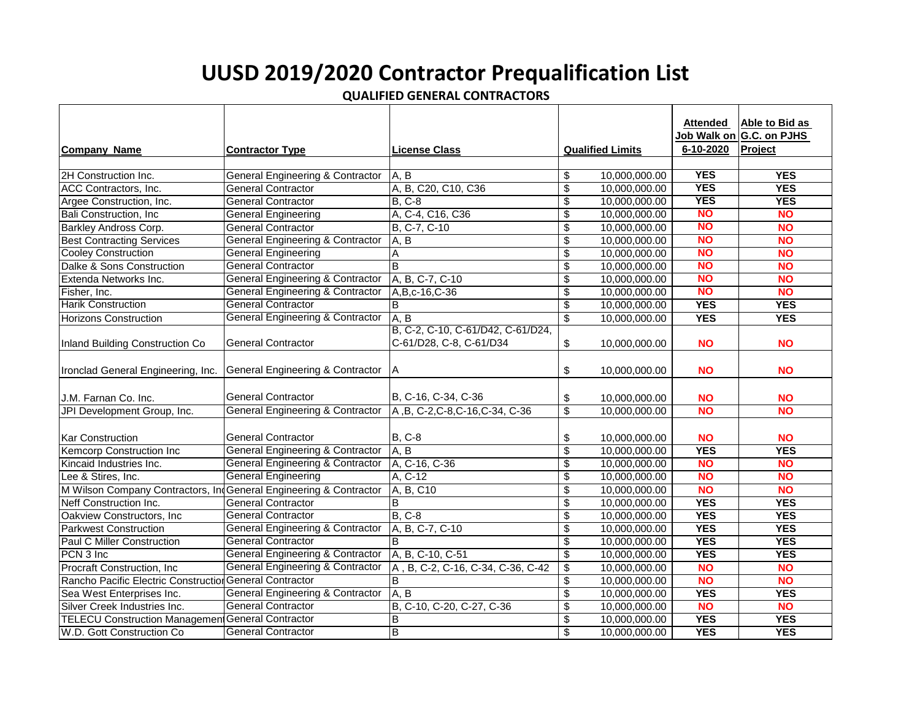## **UUSD 2019/2020 Contractor Prequalification List**

**QUALIFIED GENERAL CONTRACTORS**

|                                                                   |                                                                     |                                   |                                      |                         | Attended    | Able to Bid as |
|-------------------------------------------------------------------|---------------------------------------------------------------------|-----------------------------------|--------------------------------------|-------------------------|-------------|----------------|
|                                                                   |                                                                     |                                   |                                      |                         | Job Walk on | G.C. on PJHS   |
|                                                                   |                                                                     |                                   |                                      |                         | 6-10-2020   | Project        |
| <b>Company Name</b>                                               | <b>Contractor Type</b>                                              | <b>License Class</b>              |                                      | <b>Qualified Limits</b> |             |                |
|                                                                   |                                                                     |                                   |                                      |                         | <b>YES</b>  | <b>YES</b>     |
| 2H Construction Inc.                                              | <b>General Engineering &amp; Contractor</b>                         | A, B                              | \$                                   | 10,000,000.00           | <b>YES</b>  |                |
| ACC Contractors, Inc.                                             | <b>General Contractor</b>                                           | A, B, C20, C10, C36               | $\overline{\boldsymbol{\mathsf{s}}}$ | 10,000,000.00           |             | <b>YES</b>     |
| Argee Construction, Inc.                                          | <b>General Contractor</b>                                           | <b>B, C-8</b>                     | \$                                   | 10,000,000.00           | <b>YES</b>  | <b>YES</b>     |
| <b>Bali Construction, Inc.</b>                                    | <b>General Engineering</b>                                          | A, C-4, C16, C36                  | \$                                   | 10,000,000.00           | <b>NO</b>   | <b>NO</b>      |
| Barkley Andross Corp.                                             | <b>General Contractor</b>                                           | B, C-7, C-10                      | \$                                   | 10,000,000.00           | <b>NO</b>   | <b>NO</b>      |
| <b>Best Contracting Services</b>                                  | <b>General Engineering &amp; Contractor</b>                         | A, B                              | \$                                   | 10,000,000.00           | <b>NO</b>   | <b>NO</b>      |
| <b>Cooley Construction</b>                                        | <b>General Engineering</b>                                          | A                                 | \$                                   | 10,000,000.00           | <b>NO</b>   | <b>NO</b>      |
| Dalke & Sons Construction                                         | <b>General Contractor</b>                                           | B                                 | \$                                   | 10,000,000.00           | <b>NO</b>   | <b>NO</b>      |
| Extenda Networks Inc.                                             | <b>General Engineering &amp; Contractor</b>                         | A, B, C-7, C-10                   | \$                                   | 10,000,000.00           | <b>NO</b>   | <b>NO</b>      |
| Fisher, Inc.                                                      | <b>General Engineering &amp; Contractor</b>                         | A, B, c-16, C-36                  | \$                                   | 10,000,000.00           | <b>NO</b>   | <b>NO</b>      |
| <b>Harik Construction</b>                                         | <b>General Contractor</b>                                           | B                                 | \$                                   | 10,000,000.00           | <b>YES</b>  | <b>YES</b>     |
| Horizons Construction                                             | <b>General Engineering &amp; Contractor</b>                         | A, B                              | \$                                   | 10,000,000.00           | <b>YES</b>  | <b>YES</b>     |
|                                                                   |                                                                     | B, C-2, C-10, C-61/D42, C-61/D24, |                                      |                         |             |                |
| Inland Building Construction Co                                   | General Contractor                                                  | C-61/D28, C-8, C-61/D34           | \$                                   | 10,000,000.00           | <b>NO</b>   | <b>NO</b>      |
| Ironclad General Engineering, Inc.                                | <b>General Engineering &amp; Contractor</b>                         | A                                 | \$                                   | 10,000,000.00           | <b>NO</b>   | <b>NO</b>      |
| J.M. Farnan Co. Inc.                                              | <b>General Contractor</b>                                           | B, C-16, C-34, C-36               | \$                                   | 10,000,000.00           | <b>NO</b>   | <b>NO</b>      |
| JPI Development Group, Inc.                                       | General Engineering & Contractor   A, B, C-2, C-8, C-16, C-34, C-36 |                                   | $\overline{\mathcal{S}}$             | 10.000.000.00           | <b>NO</b>   | <b>NO</b>      |
| <b>Kar Construction</b>                                           | <b>General Contractor</b>                                           | <b>B, C-8</b>                     | \$                                   | 10,000,000.00           | <b>NO</b>   | <b>NO</b>      |
| <b>Kemcorp Construction Inc</b>                                   | <b>General Engineering &amp; Contractor</b>                         | A, B                              | \$                                   | 10.000.000.00           | <b>YES</b>  | <b>YES</b>     |
| Kincaid Industries Inc.                                           | <b>General Engineering &amp; Contractor</b>                         | A, C-16, C-36                     | $\overline{\boldsymbol{\theta}}$     | 10,000,000.00           | <b>NO</b>   | <b>NO</b>      |
| Lee & Stires, Inc.                                                | <b>General Engineering</b>                                          | A, C-12                           | \$                                   | 10,000,000.00           | <b>NO</b>   | <b>NO</b>      |
| M Wilson Company Contractors, IndGeneral Engineering & Contractor |                                                                     | A, B, C10                         | \$                                   | 10,000,000.00           | <b>NO</b>   | <b>NO</b>      |
| Neff Construction Inc.                                            | General Contractor                                                  | B                                 | \$                                   | 10,000,000.00           | <b>YES</b>  | <b>YES</b>     |
| Oakview Constructors, Inc.                                        | General Contractor                                                  | <b>B</b> , C-8                    | \$                                   | 10,000,000.00           | <b>YES</b>  | <b>YES</b>     |
| <b>Parkwest Construction</b>                                      | <b>General Engineering &amp; Contractor</b>                         | A, B, C-7, C-10                   | \$                                   | 10,000,000.00           | <b>YES</b>  | <b>YES</b>     |
| Paul C Miller Construction                                        | <b>General Contractor</b>                                           | B                                 | $\overline{\boldsymbol{\mathsf{s}}}$ | 10,000,000.00           | <b>YES</b>  | <b>YES</b>     |
|                                                                   | <b>General Engineering &amp; Contractor</b>                         | A, B, C-10, C-51                  |                                      |                         | <b>YES</b>  |                |
| PCN 3 Inc                                                         |                                                                     |                                   | $\overline{\boldsymbol{\mathsf{s}}}$ | 10,000,000.00           |             | <b>YES</b>     |
| Procraft Construction, Inc.                                       | <b>General Engineering &amp; Contractor</b>                         | A, B, C-2, C-16, C-34, C-36, C-42 | \$                                   | 10,000,000.00           | <b>NO</b>   | <b>NO</b>      |
| Rancho Pacific Electric Construction General Contractor           |                                                                     | B                                 | \$                                   | 10,000,000.00           | <b>NO</b>   | <b>NO</b>      |
| Sea West Enterprises Inc.                                         | <b>General Engineering &amp; Contractor</b>                         | A, B                              | \$                                   | 10,000,000.00           | <b>YES</b>  | <b>YES</b>     |
| Silver Creek Industries Inc.                                      | <b>General Contractor</b>                                           | B, C-10, C-20, C-27, C-36         | \$                                   | 10,000,000.00           | <b>NO</b>   | <b>NO</b>      |
| <b>TELECU Construction Management General Contractor</b>          |                                                                     | $\overline{B}$                    | $\overline{\boldsymbol{\theta}}$     | 10,000,000.00           | <b>YES</b>  | <b>YES</b>     |
| W.D. Gott Construction Co.                                        | <b>General Contractor</b>                                           | B                                 | \$                                   | 10,000,000.00           | <b>YES</b>  | <b>YES</b>     |